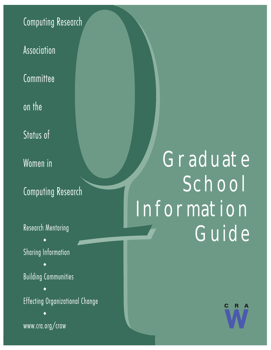## **Computing Research**

Association

Committee

on the

Status of

Women in

**Computing Research** 

**Research Mentoring** 

**Sharing Information** 

**Building Communities** 

Effecting Organizational Change

www.cra.org/craw

# **Graduate** School Information Guide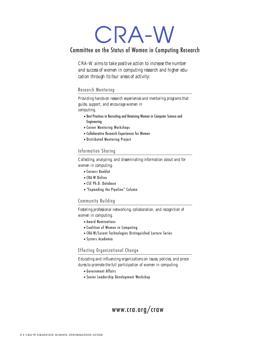# CRA-W

### Committee on the Status of Women in Computing Research

*CRA-W aims to take positive action to increase the number and success of women in computing research and higher education through its four areas of activity:*

#### Research Mentoring

*Providing hands-on research experiences and mentoring programs that guide, support, and encourage women in computing.*

- •Best Practices in Recruiting and Retaining Women in Computer Science and Engineering
- •Career Mentoring Workshops
- •Collaborative Research Experiences for Women
- •Distributed Mentoring Project

#### Information Sharing

*Collecting, analyzing, and disseminating information about and for women in computing.*

- •Careers Booklet
- •CRA-W Online
- •CSE Ph.D. Database
- •"Expanding the Pipeline" Column

#### Community Building

*Fostering professional networking, collaboration, and recognition of women in computing.*

- •Award Nominations
- •Coalition of Women in Computing
- •CRA-W/Lucent Technologies Distinguished Lecture Series
- •Systers Academia

#### Effecting Organizational Change

*Educating and influencing organizations on issues, policies, and procedures to promote the full participation of women in computing.*

- •Government Affairs
- •Senior Leadership Development Workshop

### www.cra.org/craw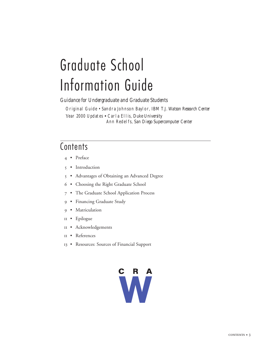# Graduate School Information Guide

*Guidance for Undergraduate and Graduate Students*

Original Guide • Sandra Johnson Baylor, *IBM T.J. Watson Research Center* Year 2000 Updates • Carla Ellis, *Duke University* Ann Redelfs, *San Diego Supercomputer Center*

### **Contents**

- 4 Preface
- 5 Introduction
- 5 Advantages of Obtaining an Advanced Degree
- 6 Choosing the Right Graduate School
- 7 The Graduate School Application Process
- 9 Financing Graduate Study
- 9 Matriculation
- 11 Epilogue
- 11 Acknowledgements
- 11 References
- 13 Resources: Sources of Financial Support

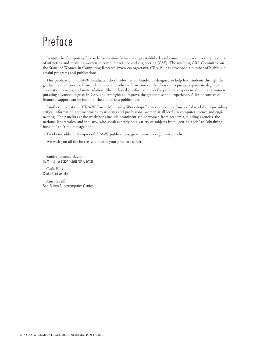## Preface

In 1991, the Computing Research Association (www.cra.org) established a subcommittee to address the problems of attracting and retaining women in computer science and engineering (CSE). The resulting CRA Committee on the Status of Women in Computing Research (www.cra.org/craw), CRA-W, has developed a number of highly successful programs and publications.

This publication, "CRA-W Graduate School Information Guide," is designed to help lead students through the graduate school process. It includes advice and other information on the decision to pursue a graduate degree, the application process, and matriculation. Also included is information on the problems experienced by many women pursuing advanced degrees in CSE, and strategies to improve the graduate school experience. A list of sources of financial support can be found at the end of this publication.

Another publication, "CRA-W Career Mentoring Workshops," covers a decade of successful workshops providing critical information and mentoring to students and professional women at all levels in computer science and engineering. The panelists at the workshops include prominent senior women from academia, funding agencies, the national laboratories, and industry, who speak expertly on a variety of subjects from "getting a job" to "obtaining funding" to "time management."

To obtain additional copies of CRA-W publications, go to www.cra.org/craw/pubs.html.

We wish you all the best as you pursue your graduate career.

Sandra Johnson Baylor *IBM T.J. Watson Research Center*

Carla Ellis *Duke University*

Ann Redelfs *San Diego Supercomputer Center*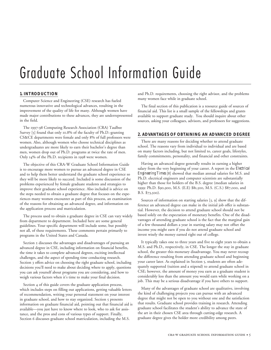## Graduate School Information Guide

#### **1. INTRODUCTION**

Computer Science and Engineering (CSE) research has fueled numerous innovative and technological advances, resulting in the improvement of the quality of life for many. Although women have made major contributions to these advances, they are underrepresented in the field.

The 1997-98 Computing Research Association (CRA) Taulbee Survey [5] found that only 10.8% of the faculty of Ph.D.-granting CS&CE departments were female and only 8% of full professors were women. Also, although women who choose technical disciplines as undergraduates are more likely to earn their bachelor's degree than men, women drop out of Ph.D. programs at twice the rate of men. Only 14% of the Ph.D. recipients in 1998 were women.

The objective of this CRA-W Graduate School Information Guide is to encourage more women to pursue an advanced degree in CSE and to help them better understand the graduate school experience so they will be more likely to succeed. Included is some discussion of the problems experienced by female graduate students and strategies to improve their graduate school experience. Also included is advice on the steps needed to obtain a graduate degree that focuses on the experiences many women encounter as part of this process, an examination of the reasons for obtaining an advanced degree, and information on the application process and matriculation.

The process used to obtain a graduate degree in CSE can vary widely from department to department. Included here are some general guidelines. Your specific department will include some, but possibly not all, of these requirements. These comments pertain primarily to programs in the United States and Canada.

Section 2 discusses the advantages and disadvantages of pursuing an advanced degree in CSE, including information on financial benefits, the time it takes to complete advanced degrees, exciting intellectual challenges, and the aspect of spending time conducting research. Section 3 offers advice on choosing the right graduate school, including decisions you'll need to make about deciding where to apply, questions you can ask yourself about programs you are considering, and how to weigh various factors when it's time to make your final decision.

Section 4 of this guide covers the graduate application process, which includes steps on filling out applications, getting valuable letters of recommendation, writing your personal statement on your interest in graduate school, and how to stay organized. Section 5 presents information on graduate financial aid, pointing out that financial aid is available—you just have to know where to look, who to ask for assistance, and the pros and cons of various types of support. Finally, Section 6 discusses graduate school matriculation, including the M.S.

and Ph.D. requirements, choosing the right advisor, and the problems many women face while in graduate school.

The final section of this publication is a resource guide of sources of financial aid. This list is a small sample of the fellowships and grants available to support graduate study. You should inquire about other sources, asking your colleagues, advisors, and professors for suggestions.

#### **2. ADVANTAGES OF OBTAINING AN ADVANCED DEGREE**

There are many reasons for deciding whether to attend graduate school. The reasons vary from individual to individual and are based on many factors including, but not limited to, career goals, lifestyles, family commitments, personality, and financial and other constraints.

Having an advanced degree generally results in earning a higher salary from the very beginning of your career. A report in the *Electrical Engineering Times* [8] showed that median annual salaries for M.S. and Ph.D. electrical engineers and computer scientists are substantially higher than those for holders of the B.S. degree (median salaries in 1999: Ph.D. \$90,900, M.S. (E.E) \$81,500, M.S. (C.S.) \$87,000, and B.S. \$73,500).

Sources of information on starting salaries [3, 9] show that the difference an advanced degree can make in the initial job offer is substantial. However, the decision to attend graduate school should not be based solely on the expectation of monetary benefits. One of the disadvantages of attending graduate school is the fact that the marginal gain of a few thousand dollars a year in starting salary may not offset the income you might earn if you do not attend graduate school and invest wisely the money earned right out of college.

It typically takes one to three years and five to eight years to obtain a M.S. and Ph.D., respectively, in CSE. The longer the stay in graduate school, the greater this monetary disadvantage. You may never recoup the difference resulting from attending graduate school and beginning your career later. As explained in Section 5, students are often adequately supported (tuition and a stipend) to attend graduate school in CSE; however, the amount of money you earn as a graduate student is considerably less than the amount you would earn while working on a job. This may be a serious disadvantage if you have others to support.

Many of the advantages of graduate school are qualitative, involving the kind of challenging projects you can pursue with an advanced degree that might not be open to you without one and the satisfaction that results. Graduate school provides training in research. Attending graduate school facilitates the student's ability to advance the state of the art in their chosen CSE area through cutting-edge research. A graduate degree gives the holder more credibility among peers.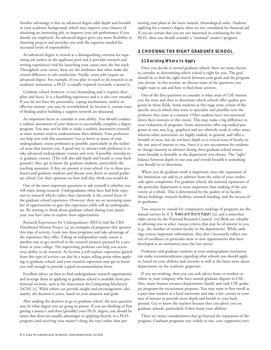Another advantage is that an advanced degree adds depth and breadth to your academic background, which may improve your chances of obtaining an interesting job, or improve your job performance if you already are employed. An advanced degree gives you more flexibility in choosing projects and provides you with the expertise needed for increased levels of responsibility.

An advanced degree is viewed as a distinguishing criterion for separating job seekers in the applicant pool and it provides research and writing experiences vital for launching your career onto the fast track. Throughout your career, these are the attributes that often make the critical difference in job satisfaction. Finally, some jobs require an advanced degree. For example, if you plan to teach or do research at an academic institution, a Ph.D. is usually required (certainly a master's).

Graduate school, however, is very demanding and it requires discipline and focus. It is a humbling experience and it is also very stressful. If you do not have the personality, coping mechanisms, and/or an effective mentor, you may be overwhelmed. In Section 6, various ways of finding and/or building a support network are discussed.

An important factor to consider is your ability. You should conduct a realistic assessment of your chances to successfully complete a degree program. You may not be able to make a realistic assessment yourself, as some women tend to underestimate their abilities. Your professors can help you with this assessment. Get to know as many of your undergraduate course professors as possible, particularly in the technical areas that interest you. A good way to interact with professors is to take advanced undergraduate courses and even, if possible, introductory graduate courses. (This will also add depth and breath to your background.) Also, get to know the graduate students, particularly the teaching assistants, if they are present at your school. Go to these professors and graduate students and discuss your desire to attend graduate school. Get their opinions on how well they think you would do.

One of the most important questions to ask yourself is whether you will enjoy doing research. Undergraduates often have had little exposure to research which, rather than classwork, is the central focus of the graduate school experience. However, there are an increasing number of opportunities to gain this experience while still an undergraduate. By starting to think about graduate school during your junior year, you have time to explore these opportunities.

Research Experiences for Undergraduates (REUs) and the CRA Distributed Mentor Project [4] are examples of programs that sponsor this type of activity. Look into these programs and take advantage of the experience they offer. Taking an independent study course is another way to get involved in the research projects pursued by a professor at your college. The supervising professor can help you access your ability to do research. As Section 4 will explain, experience gained from this type of activity can also be a major selling point when applying to graduate school, and your research supervisor may get to know you well enough to provide a good recommendation letter.

Excellent advice on how to find undergraduate research opportunities and leverage them in applying to graduate school is available from professional societies, such as the Association for Computing Machinery (ACM) [2]. While others can provide insight and encouragement, ultimately, the decision is yours, based on your situation and goals.

After making the decision to go to graduate school, the next question may be what degree you are going to pursue. If you are thinking of first getting a master's and then (possibly) your Ph.D. degree, you should be aware that there are usually advantages in applying directly to a Ph.D. program (and receiving your master's along the way) rather than presenting your plans in the more natural, chronological order. Students applying for a master's degree often are not considered for financial aid. If you are certain that you are not interested in continuing for the Ph.D., then you should consider a "terminal" master's program.

#### **3. CHOOSING THE RIGHT GRADUATE SCHOOL**

#### **3.1 Deciding Where to Apply**

Once you decide to attend graduate school, there are many factors to consider in determining which school is right for you. The goal should be to find the right match between your goals and the program you choose. In this section, we discuss some of the questions you might want to ask and how to find those answers.

One of the first questions to consider is what areas of CSE interest you the most and then to determine which schools offer quality programs in those fields. Some students at this stage seem certain of the specific area in which they want to specialize and possibly even the professor they want as a mentor. Other students have not narrowed down their interests to this extent. This may make a big difference in your evaluation of programs. Some universities offer top-ranked programs in one area (e.g., graphics) and are relatively weak in other areas; whereas other universities are highly ranked, in general, and offer a breadth of areas, but do not have depth or a critical mass of faculty in the one area of interest to you. Since it is not uncommon for students to change interests or advisors during their graduate school tenure, some breadth is desirable in the department you choose. The "right" balance between depth in one area and overall breadth is something you should try to determine.

Where you do graduate work is important, since the reputation of the institution can add to or subtract from the value of your credentials upon completion. For graduate school, the national reputation of the particular department is more important than ranking of the university as a whole. This is determined by the quality of its faculty, library holdings, research facilities, research funding, and the success of its graduates.

Two sources to consult for comparative rankings of programs are the annual surveys by *U.S. News and World Report* [13] and a somewhat older survey by the National Research Council. [10] Both are valuable in allowing you to select various criteria that may be of interest to you (e.g., the number of women faculty in the department). While rankings convey important information, they don't necessarily reflect centers of excellence in particular areas or new opportunities that have developed at an institution since the last survey.

Professors and graduate students at your undergraduate institution can make recommendations regarding what schools you should apply to, based on your abilities and interests as well as the latest news about departments on the academic grapevine.

If you are working, then you can seek advice from co-workers or others in your company who have earned graduate degrees in CSE. Also, many human resource departments classify and rank CSE graduate programs for recruitment purposes. You may want to first enroll as a part-time student at a local university and take a few courses in your area of interest to provide more depth and breath to your background. Get to know the teachers because they can advise you on graduate schools, particularly if they know your abilities.

There are many considerations that go beyond the reputation of the program. Graduate programs vary widely in size, cost, supportive envi-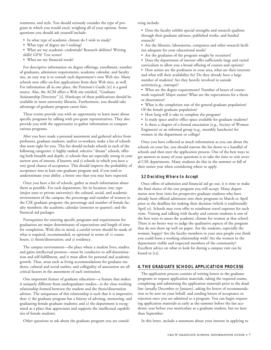ronments, and style. You should seriously consider the type of program in which you would excel, weighing all of your options. Some questions you should ask yourself include:

- In what type of academic climate do I wish to study?
- What type of degree am I seeking?
- What are my academic credentials? Research abilities? Writing skills? GPA? Test scores?
- What are my financial needs?

For descriptive information on degree offerings, enrollment, number of graduates, admission requirements, academic calendar, and faculty size, an easy way is to consult each department's own Web site. Many schools now offer on-line applications from their Web sites, as well. For information all in one place, the Peterson's Guide [11] is a good source. Also, the ACM offers a Web site entitled, "Graduate Assistantship Directory" [1]. Hardcopy of these publications should be available in most university libraries. Furthermore, you should take advantage of graduate program career fairs.

These events provide you with an opportunity to learn more about specific programs by talking with pro-gram representatives. They also provide you with the opportunity to gather information to compare various programs.

After you have made a personal assessment and gathered advice from professors, graduate students, and/or co-workers, make a list of schools that seem right for you. This list should include schools in each of the following categories: 1) highly ranked, selective "dream" schools, offering both breadth and depth; 2) schools that are especially strong in your narrow area of interest, if known; and 3) schools in which you have a very good chance of acceptance. This should improve the probability of acceptance into at least one graduate program and, if you tend to underestimate your ability, a better one than you may have expected.

Once you have a list of schools, gather as much information about them as possible. For each department, list its location; size; type (major state or private university); the cultural, social, and academic environment of the campus; the percentage and number of women in the CSE graduate program; the percentage and number of female faculty members; the academic calendar (semester or quarter); and the financial aid packages.

Prerequisites for entering specific programs and requirements for graduation are major determinants of expectations and length of time for completion. With this in mind, a careful review should be made of what is required, recommended, or optional in terms of: 1) course hours; 2) thesis/dissertation; and 3) residency.

The campus environment—the place where a student lives, studies, and gains intellectual prowess—must be conducive to self-determination and self-fulfillment, and it must allow for personal and academic growth. Thus, areas such as living accommodations for graduate students, cultural and social outlets, and collegiality of association are all critical factors in the assessment of each institution.

One important feature of graduate education—a feature that makes it uniquely different from undergraduate studies—is the close working relationship formed between the student and the thesis/dissertation advisor. The uniqueness of this relationship is such that it is imperative that: 1) the graduate program has a history of advising, mentoring, and graduating female graduate students; and 2) the department is recognized as a place that appreciates and supports the intellectual capabilities of female students.

Other questions to ask about the graduate program you are consid-

ering include:

• Does the faculty exhibit special strengths and research qualities through their graduate advisees, published works, and funded research?

• Are the libraries, laboratories, computers and other research facilities adequate for your educational needs?

- Are the graduates of the program sought by recruiters?
- Does the department of interest offer sufficiently large and varied curriculum to allow you a broad offering of courses and options?
- How senior are the professors in your area, what are their interests and what will their availability be? Do they already have a large number of students? Are they heavily involved in outside activities(e.g., startups)?
- What are the degree requirements? Number of hours of coursework required? Major exams? What are the expectations for a thesis or dissertation?
- What is the completion rate of the general graduate population? Of the female graduate population?
- How long will it take to complete the program?
- Is study space and/or office space available for graduate students?
- Is there a chapter of a formal association (e.g., Society of Women Engineers) or an informal group (e.g., monthly luncheon) for women in the department or college?

Once you have collected as much information as you can about the schools on your list, you should narrow the list down to a handful of schools and then start the application process. One of the best ways to get answers to many of your questions is to take the time to visit several CSE departments. Many students do this in the summer or fall of their senior year when considering where to apply.

#### **3.2 Deciding Where to Accept**

Once offers of admission and financial aid go out, it is time to make the final choice of the one program you will accept. Many departments now host visits for prospective graduate students who have already been offered admission into their programs in March or April prior to the deadline for making their decision (which is traditionally April 15). Schools may even offer to reimburse travel expenses for such visits. Visiting and talking with faculty and current students is one of the best ways to assess the academic climate for women at that school. There is no better way to judge the qualitative aspects of the program that do not show up well on paper. Are the students, especially the women, happy? Are the faculty members in your area people you think you could form a working relationship with? Are the women in the department visible and respected members of the community? Excellent advice on what to look for during a campus visit can be found in [12].

#### **4. THE GRADUATE SCHOOL APPLICATION PROCESS**

The application process consists of writing letters to the graduate programs to request application materials, taking the required exams, completing and submitting the application materials prior to the deadline (usually December or January), asking for letters of recommendation to be sent on your behalf, and sending letters of acceptance or rejection once you are admitted to a program. You can begin requesting application materials as early as the summer before the last academic year before you matriculate as a graduate student, but no later than September.

In this letter, include a statement about your interest in applying to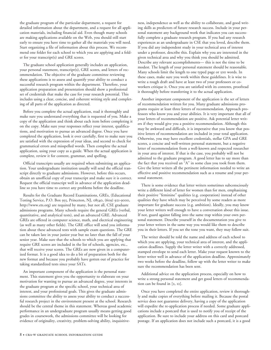the graduate program of the particular department, a request for detailed information about the department, and a request for all application materials, including financial aid. Even though many schools are making applications available on the Web, you should still start early to ensure you have time to gather all the materials you will need. Start organizing a file of information about this process. We recommend one folder for each school to which you are applying and a folder for your transcript(s) and GRE scores.

The graduate school application generally includes an application, your personal statement, transcript(s), GRE scores, and letters of recommendation. The objective of the graduate committee reviewing these applications is to assess and quantify your ability to conduct a successful research program within the department. Therefore, your application preparation and presentation should show a professional set of credentials that make the case for your research potential. This includes using a clear, concise, and coherent writing style and completing of all parts of the application as directed.

Before you complete the actual application, read it thoroughly and make sure you understand everything that is requested of you. Make a copy of the application and think about each item before completing it on the copy. Make sure your responses reflect your interest, qualifications, and motivation to pursue an advanced degree. Once you have completed the application, look it over carefully, first to make sure you are satisfied with the expression of your ideas, and second to check for grammatical errors and misspelled words. Then complete the actual application, using your copy as a guide. When the actual application is complete, review it for content, grammar, and spelling.

Official transcripts usually are required when submitting an application. Your undergraduate institution usually will send the official transcript directly to graduate admissions. However, before this occurs, obtain an unofficial copy of your transcript and make sure it is correct. Request the official transcript well in advance of the application deadline so you have time to correct any problems before the deadline.

Results for the Graduate Record Examinations, GREs, (Educational Testing Service, P.O. Box 955, Princeton, NJ, 08540, (609) 921-9000, http://www.ets.org) are required by many, but not all, CSE graduate admissions programs. Many schools require the general GREs (verbal, quantitative, and analytical tests), and an advanced GRE. Advanced GREs are offered in computer science, math, and electrical engineering (as well as many other fields). The GRE office will send you information about these advanced tests with sample exam questions. The GRE can be taken late in your junior year but no later than the fall of your senior year. Make sure that the schools to which you are applying that require GRE scores are included in the list of schools, agencies, etc., that will receive your scores. The GREs are now given in a computerized format. It is a good idea to do a bit of preparation both for the new format and because you probably have gotten out of practice for taking standardized tests since your SATs.

An important component of the application is the personal statement. This statement gives you the opportunity to elaborate on your motivation for wanting to pursue an advanced degree, your interests in the graduate program at the specific school, your technical area of interest, and your professional goals. This gives the graduate admissions committee the ability to assess your ability to conduct a successful research project in the environment present at the school. Research should be the central theme in this statement. Whereas good academic performance in an undergraduate program usually means getting good grades in coursework, the admissions committee will be looking for evidence of originality, creativity, problem-solving ability, inquisitive-

ness, independence as well as the ability to collaborate, and good writing skills as predictors of future research success. Include in your personal statement any background work that indicates you can successfully complete a graduate research program. If you had any research experiences as an undergraduate in CSE that you loved, describe them. If you did any independent study in your technical area of interest under a professor, describe this. Explain why you are interested in the given technical area and why you think you should be admitted. Describe any relevant accomplishments— this is not the time to be modest. The length of your personal statement should be reasonable. Many schools limit the length to one typed page or 500 words. In these cases, make sure you work within these guidelines. It is wise to write a rough draft and have at least two of your professors or coworkers critique it. Once you are satisfied with its contents, proofread it thoroughly before transferring it to the actual application.

Another important component of the application is the set of letters of recommendation written for you. Many graduate admissions programs require at least three letters of recommendation. Approach professors who know you and your abilities. It is very important that all of your letters of recommendation are positive. Ask potential letter writers if they would give you a positive recommendation. Although this may be awkward and difficult, it is imperative that you know that positive letters of recommendation are included in your total application. Otherwise, you may have excellent credentials, stellar GPA and GRE scores, a concise and well-written personal statement, but a negative letter of recommendation from a well-known and respected researcher in your area of interest. If that is the case, you probably will not be admitted to the graduate program. A good letter has to say more than the fact that you received an "A" in some class you took from them. Give the letter writers all the pertinent information needed to write an effective and positive recommendation such as a resume and your personal statement.

There is some evidence that letter writers sometimes subconsciously write a different kind of letter for women than for men, emphasizing their positive "feminine" qualities (e.g. cooperation) instead of other qualities they have which may be perceived by some readers as more important for graduate success (e.g. ambition). Ideally, you may know your letter writers well enough to have a conversation about this issue. If not, guard against falling into the same trap within your own personal statement. Describe yourself in the documentation you give to your letter writers in the same way you would like them to describe you in their letters. If you set the tone you want, they may follow suit.

The writer should be told the name and address of each school to which you are applying, your technical area of interest, and the application deadlines. Supply the letter writer with a correctly addressed, stamped envelope to send each letter. Make your request known to the letter writer well in advance of the application deadline. Approximately two weeks before the deadline, follow up with the letter writer to make sure the recommendation has been sent.

Additional advice on the application process, especially on how to write a strong personal statement and get good letters of recommendation can be found in [2, 12].

Once you have completed the entire application, review it thoroughly and make copies of everything before mailing it. Because the postal service does not guarantee delivery, having a copy of the application will expedite the re-application process if needed. Some graduate applications include a postcard that is used to notify you of receipt of the application. Be sure to include your address on this card and postcard postage. If an application does not include such a postcard, it is a good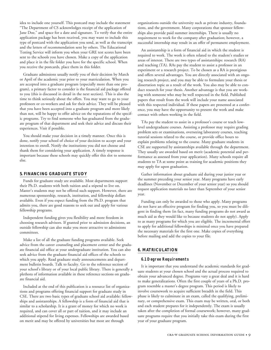idea to include one yourself. This postcard may include the statement "The Department of CS acknowledges receipt of the application of Jane Doe," and space for a date and signature. To verify that the entire application package has been received, you may want to include this type of postcard with the application you send, as well as the transcript and the letters of recommendation sent by others. The Educational Testing Service will inform you when your GRE test scores have been sent to the schools you have chosen. Make a copy of the application and place it in the file folder you have for the specific school. When you receive the postcards, place them in this folder.

Graduate admissions usually notify you of their decision by March or April of the academic year prior to your matriculation. When you are accepted into a graduate program (especially more than one program), a primary factor to consider is the financial aid package offered to you (this is discussed in detail in the next section). This is also the time to think seriously about the offers. You may want to go to your professors or co-workers and ask for their advice. They will be pleased that you have been accepted into a graduate program and more likely than not, will be happy to offer advice on the reputations of the specific programs. Try to find someone who has graduated from the graduate program of that department and seek their advice and discuss their experiences. Visit if possible.

You should make your decision in a timely manner. Once this is done, notify your school of choice of your decision to accept and your intention to enroll. Notify the institutions you did not choose and thank them for considering your application. A timely response is important because these schools may quickly offer this slot to someone else.

#### **5. FINANCING GRADUATE STUDY**

Funds for graduate study are available. Most departments support their Ph.D. students with both tuition and a stipend to live on. Master's students may not be offered such support. However, there are numerous sponsorship, research, institution, and fellowship dollars available. Even if you expect funding from the Ph.D. program that admits you, there are good reasons to seek out and apply for various fellowship programs.

Independent funding gives you flexibility and more freedom in choosing research advisors. If granted prior to admission decisions, an outside fellowship can also make you more attractive to admissions committees.

Make a list of all the graduate funding programs available. Seek advice from the career counseling and placement center and the graduate financial aid office at your undergraduate institution. You can also seek advice from the graduate financial aid offices of the schools to which you apply. Read graduate study announcements and department bulletin boards. Talk to faculty. Go to the reference section of your school's library or of your local public library. There is generally a plethora of information available in these reference sections on graduate financial aid.

Included at the end of this publication is a resource list of organizations and programs offering financial support for graduate study in CSE. There are two basic types of graduate school aid available: fellowships and assistantships. A fellowship is a form of financial aid that is similar to a scholarship. It is a grant of money for which no work is required, and can cover all or part of tuition, and it may include an additional stipend for living expenses. Fellowships are awarded based on merit and may be offered by universities but most are through

organizations outside the university such as private industry, foundations, and the government. Many corporations that sponsor fellowships also provide paid summer internships. There is usually no requirement to work for the company after graduation; however, a successful internship may result in an offer of permanent employment.

An assistantship is a form of financial aid in which the student is required to work. The work is often related to the student's studies or areas of interest. There are two types of assistantships: research (RA) and teaching (TA). RAs pay the student to assist a professor in an experiment or a research project. To be chosen as a RA is prestigious and offers several advantages. You are directly associated with an ongoing research project, and you may be able to formulate your thesis or dissertation topic as a result of the work. You also may be able to conduct research for your thesis. Another advantage is that you are working with someone who may be well respected in the field. Published papers that result from the work will include your name associated with this respected individual. If these papers are presented at a conference, you may have the opportunity to present the work and make contact with others working in the field.

TAs pay the student to assist in a professor's course or teach lowlevel undergraduate courses. Assisting a professor may require grading problem sets or examinations, overseeing laboratory courses, teaching tutorial sessions related to the course, or provide office hours to explain problems relating to the course. Many graduate students in CSE are supported by assistantships available through the department. They usually are awarded based on merit (academic potential and performance as assessed from your application). Many schools require all students to TA at some point as training for academic positions they may apply for upon graduation.

Gather information about graduate aid during your junior year or the summer preceding your senior year. Many programs have early deadlines (November or December of your senior year) so you should request application materials no later than September of your senior year.

Funding can only be awarded to those who apply. Many programs do not have an effective program for finding you, so you must be diligent in finding them (in fact, many funding programs do not award as much aid as they would like to because students do not apply). Apply to as many programs for which you are eligible. The incremental effort to apply for additional fellowships is minimal once you have prepared the necessary materials for the first one. Make copies of everything before mailing and add the copies to your file.

#### **6. MATRICULATION**

#### **6.1 Degree Requirements**

It is important that you understand the academic standards for graduate students at your chosen school and the actual process required to obtain your advanced degree. Programs vary a great deal and it is hard to make generalizations. Often the first couple of years of a Ph.D. program resemble a master's degree program. This period is likely to involve coursework to acquire sufficient breadth in the field. This phase is likely to culminate in an exam, called the qualifying, preliminary, or comprehensive exam. This exam may be written, oral, or both and each student prepares for it independently. The exam is usually taken after the completion of formal coursework; however, many graduate programs require that you initially take this exam during the first year of your graduate program.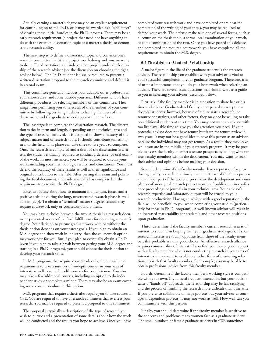Actually earning a master's degree may be an explicit requirement for continuing on to the Ph.D. or it may be awarded as a "side-effect" of clearing these initial hurdles in the Ph.D. process. There may be an early research requirement (a project that need not have anything to do with the eventual dissertation topic or a master's thesis) to demonstrate research ability.

The next step is to define a dissertation topic and convince one's research committee that it is a project worth doing and you are ready to do it. The dissertation is an independent project under the leadership of the research advisor (see the discussion on choosing the right advisor below). The Ph.D. student is usually required to present a written dissertation proposal to the research committee and defend it in an oral exam.

This committee generally includes your advisor, other professors in your chosen area, and some outside your area. Different schools have different procedures for selecting members of this committee. They range from permitting you to select all of the members of your committee by following certain guidelines to having members of the department and the graduate school appoint the members.

The last stage is to complete the dissertation research. The dissertation varies in form and length, depending on the technical area and the type of research involved. It is designed to show a mastery of the subject matter and of research tools. It should contribute something new to the field. This phase can take three to five years to complete. Once the research is completed and a draft of the dissertation is written, the student is usually required to conduct a defense (or oral exam) of the work. In most instances, you will be required to discuss your work, including your methodology, results, and conclusions. You must defend the accuracy of these results as well as their significance and original contribution to the field. After passing this exam and polishing the final document, the student usually has completed all the requirements to receive the Ph.D. degree.

Excellent advice about how to maintain momentum, focus, and a positive attitude during the long, unstructured research phase is available in [6, 7]. To obtain a "terminal" master's degree, schools may require coursework only or coursework and a thesis.

You may have a choice between the two. A thesis is a research document presented as one of the final fulfillments for obtaining a master's degree. Your decision to pursue graduate work with or without the thesis option depends on your career goals. If you plan to obtain an M.S. degree and then work in industry, then the coursework option may work best for you. But if you plan to eventually obtain a Ph.D. (even if you plan to take a break between getting your M.S. degree and starting in a Ph.D. program), you should choose the thesis option to develop your research skills.

In M.S. programs that require coursework only, there usually is a requirement to take a number of in-depth courses in your area of interest, as well as some breadth courses for completeness. You also may take a few additional courses, including an option to do independent study or complete a minor. There may also be an exam covering some core curriculum in this option.

M.S. programs that require a thesis also require you to take courses in CSE. You are required to have a research committee that oversees your research. You may be required to present a proposal to this committee.

The proposal is typically a description of the type of research you wish to pursue and a presentation of some details about how the work will be conducted and the results you hope to achieve. Once you have completed your research work and have completed or are near the completion of the writing of your thesis, you may be required to defend your work. The defense make take one of several forms, such as a lecture on the thesis topic, a formal oral examination of your work, or some combination of the two. Once you have passed this defense and completed the required coursework, you have completed all the requirements to obtain the M.S. degree.

#### **6.2 The Advisor-Student Relationship**

A major figure in the life of the graduate student is the research advisor. The relationship you establish with your advisor is vital to your successful completion of your graduate program. Therefore, it is of utmost importance that you do your homework when selecting an advisor. There are several basic questions that should serve as a guide to you in selecting your advisor, described below.

First, ask if the faculty member is in a position to share her or his time and advice. Graduate-level faculty are expected to accept new doctoral students; however, because of tenure status, research, or resource constraints, and other factors, they may not be willing to take on additional students at this time. You may not want an advisor with too little available time to give you the attention you need. If your potential advisor does not have tenure but is up for tenure review in two years, it may not be a good idea to have this person as an advisor because the individual may not get tenure. As a result, they may leave while you are in the middle of your research program. It may be possible to assess the faculty member's tenure prospects by talking with various faculty members within the department. You may want to seek their advice and opinions before making your decision.

Second, determine if the faculty member has a reputation for producing quality research in a timely manner. A part of the thesis process and a major part of the doctoral process are the development and completion of an original research project worthy of publication in conference proceedings or journals in your technical area. Your advisor's research expertise and laboratory output will be crucial to your research productivity. Having an advisor with a good reputation in the field will be beneficial to you when completing your studies (particularly for those in Ph.D. programs). A well-known advisor will result in an increased marketability for academic and other research positions upon graduation.

Third, determine if the faculty member's current research area is of interest to you and in keeping with your graduate study goals. If your research interests are totally opposite from those of the faculty member, this probably is not a good choice. An effective research alliance requires commonality of interest. If you find you have a good rapport with a faculty member who is not conducting research in your area of interest, you may want to establish another form of mentoring relationship with that faculty member. For example, you may be able to obtain professional advice from this faculty member.

Fourth, determine if the faculty member's working style is compatible with your own. If you need frequent interaction but your advisor takes a "hands-off" approach, the relationship may be less satisfying and the process of finishing the research more difficult than otherwise. If you prefer to collaborate on large projects but your advisor encourages independent projects, it may not work as well. How well can you communicate with this person?

Finally, you should determine if the faculty member is sensitive to the concerns and problems many women face as a graduate student. The small numbers of female graduate students in CSE sometimes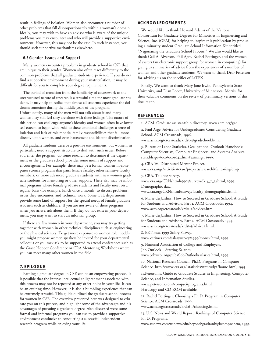result in feelings of isolation. Women also encounter a number of other problems that fall disproportionately within a woman's domain. Ideally, you may wish to have an advisor who is aware of the unique problems you may encounter and who will provide a supportive environment. However, this may not be the case. In such instances, you should seek supportive mechanisms elsewhere.

#### **6.3 Gender Issues and Support**

Many women encounter problems in graduate school in CSE that are unique to their gender. Women also often react differently to the common problems that all graduate students experience. If you do not find a supportive environment during your matriculation, it may be difficult for you to complete your degree requirements.

The period of transition from the familiarity of coursework to the unstructured nature of research is a stressful time for most graduate students. It may help to realize that almost all students experience the doldrums sometime during the middle years of the program. Unfortunately, many of the men will not talk about it and many women may still feel they are alone with these feelings. The nature of this period can challenge anyone's identity and women often have lower self-esteem to begin with. Add to these emotional challenges a sense of isolation and lack of role models, family responsibilities that fall more directly upon women, and even harassment and blatant discrimination.

All graduate students deserve a positive environment, but women, in particular, need a support structure to deal with such issues. Before you enter the program, do some research to determine if the department or the graduate school provides some means of support and encouragement. For example, there may be a formal women-in-computer science program that pairs female faculty, other sensitive faculty members, or more advanced graduate students with new women graduate students for mentoring or other support. There also may be informal programs where female graduate students and faculty meet on a regular basis (for example, lunch once a month) to discuss problems, issues they encounter, and technical work. Some CSE departments provide some kind of support for the special needs of female graduate students such as childcare. If you are not aware of these programs when you arrive, ask about them. If they do not exist in your department, you may want to start an informal group.

If there are few women in your department, you may try getting together with women in other technical disciplines such as engineering or the physical sciences. To get more exposure to women role models, you might propose women speakers be invited for your departmental colloquia or you may ask to be supported to attend conferences such as the Grace Hopper Conference or CRA Mentoring Workshops where you can meet many other women in the field.

#### **7. EPILOGUE**

Earning a graduate degree in CSE can be an empowering process. It is possible that the intense intellectual enlightenment associated with this process may not be repeated at any other point in your life. It can be an exciting time. However, it is also a humbling experience that can be extremely stressful. This guide outlined the graduate school process for women in CSE. The overview presented here was designed to educate you on this process, and highlight some of the advantages and disadvantages of pursuing a graduate degree. Also discussed were some formal and informal programs you can use to provide a supportive environment conducive to conducting a successful independent research program while enjoying your life.

#### **ACKNOWLEDGEMENTS**

We would like to thank Howard Adams of the National Consortium for Graduate Degrees for Minorities in Engineering and Science, Inc. (GEM) for helping to inspire this publication by producing a minority student Graduate School Information Kit entitled, "Negotiating the Graduate School Process." We also would like to thank Gail A. Alverson, Phil Agre, Rachel Pottinger, and the women of systers (an electronic support group for women in computing) for giving us summaries of advice from the experiences of a number of women and other graduate students. We want to thank Dror Feitelson for advising us on the specifics of LaTEX.

Finally, We want to thank Mary Jane Irwin, Pennsylvania State University, and Dian Lopez, University of Minnesota, Morris, for their valuable comments on the review of preliminary versions of this document.

#### **REFERENCES**

1. ACM. Graduate assistantship directory. www.acm.org/gad.

2. Paul Arge. Advice for Undergraduates Considering Graduate School. ACM Crossroads, 1996.

www.acm.org/crossroads/xrds3-4/gradschool.html.

3. Bureau of Labor Statistics. Occupational Outlook Handbook: Computer Scientists, Computer Engineers, and Systems Analysts. stats.bls.gov/oco/ocos042.htm#earnings, 1999.

4. CRA-W. Distributed Mentor Project. www.cra.org/Activities/craw/projects/researchMentoring/dmp

5. CRA. Taulbee survey.

www.cra.org/CRN/html/9903/survey/dk.4\_1\_t.shtml, 1999. Demographic data:

www.cra.org/CRN/html/survey/faculty\_demographics.html.

6. Marie desJardins. How to Succeed in Graduate School: A Guide for Students and Advisors, Part 1. ACM Crossroads, 1994. www.acm.org/crossroads/xrds1-2/advice1.html.

7. Marie desJardins. How to Succeed in Graduate School: A Guide for Students and Advisors, Part 2. ACM Crossroads, 1994. www.acm.org/crossroads/xrds1-3/advice2.html.

8. EETimes. 1999 Salary Survey. www.eetimes.com/salarysurvey/1999/money.html, 1999.

9. National Association of College and Employers.

Job Outlook—Starting Salaries.

www.jobweb. org/pubs/JobOutlook/salaries.html, 1999.

10. National Research Council. Ph.D. Programs in Computer Science. http://www.cra.org/ statistics/nrcstudy2/home.html, 1995.

11.Peterson's. Guide to Graduate Studies in Engineering, Computer Science, and Information Studies.

www.petersons.com/compsci/programs.html. Hardcopy and CD-ROM available.

12. Rachel Pottinger. Choosing a Ph.D. Program in Computer Science. ACM Crossroads, 1999.

www.acm.org/crossroads/xrds6-1/choosing.html.

13. U.S. News and World Report. Rankings of Computer Science Ph.D. Programs.

www.usnews.com/usnews/edu/beyond/gradrank/gbcompsc.htm, 1999.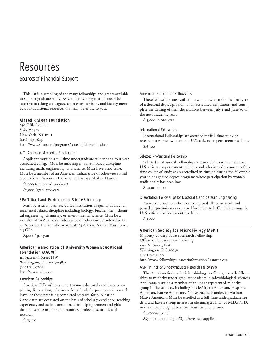### Resources

#### *Sources of Financial Support*

This list is a sampling of the many fellowships and grants available to support graduate study. As you plan your graduate career, be assertive in asking colleagues, counselors, advisors, and faculty members for additional resources that may be of use to you.

#### **Alfred P. Sloan Foundation**

630 Fifth Avenue Suite # 2550 New York, NY 10111 (212) 649-1649 http://www.sloan.org/programs/scitech\_fellowships.htm

#### *A.T. Anderson Memorial Scholarship*

Applicant must be a full-time undergraduate student at a four-year accredited college. Must be majoring in a math-based discipline including math, engineering, and science. Must have a 2.0 GPA. Must be a member of an American Indian tribe or otherwise considered to be an American Indian or at least 1/4 Alaskan Native.

\$1,000 (undergraduate/year)

\$2,000 (graduate/year)

#### *EPA Tribal Lands Environmental Science Scholarship*

Must be attending an accredited institution, majoring in an environmental related discipline including biology, biochemistry, chemical engineering, chemistry, or environmental science. Must be a member of an American Indian tribe or otherwise considered to be an American Indian tribe or at least 1/4 Alaskan Native. Must have a 2.5 GPA.

\$4,000/ per year

#### **American Association of University Women Educational Foundation (AAUW)**

111 Sixteenth Street NW Washington, DC 20036-4873 (202) 728-7603 http://www.aauw.org

#### *American Fellowships*

American Fellowships support women doctoral candidates completing dissertations, scholars seeking funds for postdoctoral research leave, or those preparing completed research for publication. Candidates are evaluated on the basis of scholarly excellence, teaching experience, and active commitment to helping women and girls through service in their communities, professions, or fields of research.

\$27,000

#### *American Dissertation Fellowships*

These fellowships are available to women who are in the final year of a doctoral degree program at an accredited institution, and complete the writing of their dissertations between July 1 and June 30 of the next academic year.

\$15,000 in one year

#### *International Fellowships*

International Fellowships are awarded for full-time study or research to women who are not U.S. citizens or permanent residents. \$l6,500

#### *Selected Professional Fellowship*

Selected Professional Fellowships are awarded to women who are U.S. citizens or permanent residents and who intend to pursue a fulltime course of study at an accredited institution during the fellowship year in designated degree programs where participation by women traditionally has been low.

\$5,000-12,000

#### *Dissertation Fellowships for Doctoral Candidates in Engineering*

Awarded to women who have completed all course work and passed all preliminary exams by November 15th. Candidates must be U. S. citizens or permanent residents.

\$15,000

#### **American Society for Microbiology (ASM)**

Minority Undergraduate Research Fellowship Office of Education and Training 1752 N. Street, NW Washington, DC 20036 (202) 737-3600 http://www.fellowships~careerinformation@asmusa.org

#### *ASM Minority Undergraduate Research Fellowship*

The American Society for Microbiology is offering research fellowships to minority under-graduate students in microbiological sciences. Applicants must be a member of an under-represented minority group in the sciences, including Black/African American, Hispanic American, Native Americans, Native Pacific Islander, or Alaskan Native American. Must be enrolled as a full-time undergraduate student and have a strong interest in obtaining a Ph.D. or M.D./Ph.D. in the microbiological sciences. Must be U.S. citizen.

\$2,5000/stipend

\$850 –student lodging/\$500/research supplies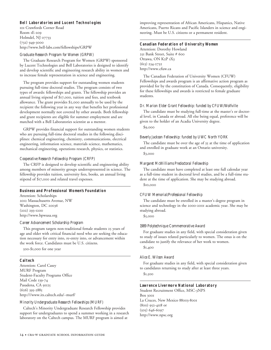#### **Bell Laboratories and Lucent Technologies**

101 Crawfords Corner Road Room 1E-209 Holmdel, NJ 07733 (732) 949-3000 http://www.bell-labs.com/fellowships/GRPW

#### *Graduate Research Program for Women (GRPW)*

The Graduate Research Program for Women (GRPW) sponsored by Lucent Technologies and Bell Laboratories is designed to identify and develop scientific and engineering research ability in women and to increase female representation in science and engineering.

The program provides support for outstanding women students pursuing full-time doctoral studies. The program consists of two types of awards: fellowships and grants. The fellowship provides an annual living stipend of \$17,000, tuition and fees, and textbook allowance. The grant provides \$2,000 annually to be used by the recipient the following year in any way that benefits her professional development normally not covered by other awards. Both fellowship and grant recipients are eligible for summer employment and are matched with a Bell Laboratories scientist as a mentor.

GRPW provides financial support for outstanding women students who are pursuing full-time doctoral studies in the following disciplines: chemical engineering, chemistry, communications, electrical engineering, information science, materials science, mathematics, mechanical engineering, operations research, physics, or statistics.

#### *Cooperative Research Fellowship Program (CRFP)*

The CRFP is designed to develop scientific and engineering ability among members of minority groups underrepresented in science. The fellowship provides tuition, university fees, books, an annual living stipend of \$17,000 and related travel expenses.

#### **Business and Professional Women's Foundation**

Attention: Scholarships 2012 Massachusetts Avenue, NW Washington, DC 20036 (202) 293-1200 http://www.bpwusa.org

#### *Career Advancement Scholarship Program*

This program targets non-traditional female students 25 years of age and older with critical financial need who are seeking the education necessary for entry into, re-entry into, or advancement within the work force. Candidates must be U.S. citizens.

500-\$1,000 for one year

#### **Caltech**

Attention: Carol Casey MURF Program Student-Faculty Programs Office Mail Code 139-74 Pasadena, CA 91125 (626) 395-2885 http:///www.its.caltech.edu/~murf/

#### *Minority Undergraduate Research Fellowships (MURF)*

Caltech's Minority Undergraduate Research Fellowship provides support for undergraduates to spend a summer working in a research laboratory on the Caltech campus. The MURF program is aimed at

improving representation of African Americans, Hispanics, Native Americans, Puerto Ricans and Pacific Islanders in science and engineering. Must be U.S. citizens or a permanent resident.

#### **Canadian Federation of University Women**

Attention: Dorothy Howland 251 Bank Street, Suite # 600 Ottawa, ON K2P 1X3 (613) 234-2732 http://www.cfuw.ca

The Canadian Federation of University Women (CFUW) Fellowships and awards program is an affirmative action program as provided for by the constitution of Canada. Consequently, eligibility for these fellowships and awards is restricted to female graduate students.

#### *Dr. Marion Elder Grant Fellowship: funded by CFUW/Wolfville*

The candidate must be studying full-time at the master's or doctoral level, in Canada or abroad. All else being equal, preference will be given to the holder of an Acadia University degree.

\$9,000

#### *Beverly Jackson Fellowship: funded by UWC North YORK*

The candidate must be over the age of 35 at the time of application and enrolled in graduate work at an Ontario university. \$3,000

#### *Margaret McWilliams Predoctoral Fellowship*

The candidate must have completed at least one full calendar year as a full-time student in doctoral level studies, and be a full-time student at the time of application. She may be studying abroad.

\$10,000

#### *CFUW Memorial/Professional Fellowship*

The candidate must be enrolled in a master's degree program in science and technology in the 2000-2001 academic year. She may be studying abroad.

\$5,000

#### *1989 Polytechnique Commemorative Award*

For graduate studies in any field, with special consideration given to study of issues related particularly to women. The onus is on the candidate to justify the relevance of her work to women.

\$1,400

#### *Alice E. Wilson Award*

For graduate studies in any field, with special consideration given to candidates returning to study after at least three years.

\$1,500

#### **Lawrence Livermore National Laboratory**

Student Recruitment Office, MSC-3NPS Box 3001 La Cruces, New Mexico 88003-8001 (800) 952-4118 or (505) 646-6097 http://www.npsc.org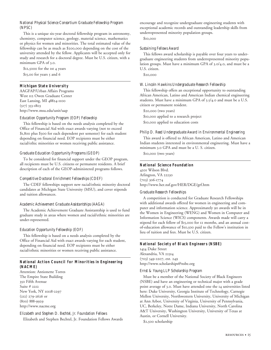#### *National Physical Science Consortium Graduate Fellowship Program (NPSC)*

This is a unique six-year doctoral fellowship program in astronomy, chemistry, computer science, geology, material science, mathematics or physics for women and minorities. The total estimated value of the fellowship can be as much as \$200,000 depending on the cost of the university attended by the fellow. Applicants will be accepted only for study and research for a doctoral degree. Must be U.S. citizen, with a minimum GPA of 3.0.

\$12,5000 for the 1st 4 years \$15,00 for years 5 and 6

#### **Michigan State University**

AAGFAP/Urban Affairs Programs West 112 Owen Graduate Center East Lansing, MI 48824-1100 (517) 353-1803 http://www.msu.edu/unit/uap

#### *Education Opportunity Program (EOP) Fellowship*

This fellowship is based on the needs analysis completed by the Office of Financial Aid with exact awards varying (not to exceed \$1,800 plus \$300 for each dependent per semester) for each student depending on financial need. EOP recipients must be either racial/ethic minorities or women receiving public assistance.

#### *Graduate Education Opportunity Programs (GEOP)*

To be considered for financial support under the GEOP program, all recipients must be U.S. citizens or permanent residents. A brief description of each of the GEOP-administered programs follows.

#### *Competitive Doctoral Enrichment Fellowships (CDEF)*

The CDEF fellowships support new racial/ethnic minority doctoral candidates at Michigan State University (MSU), and cover stipends and tuition allowances.

#### *Academic Achievement Graduate Assistantships (AAGA)*

The Academic Achievement Graduate Assistantship is used to fund graduate study in areas where women and racial/ethnic minorities are under-represented.

#### *Education Opportunity Fellowship (EOF)*

This fellowship is based on a needs analysis completed by the Office of Financial Aid with exact awards varying for each student, depending on financial need. EOP recipients must be either racial/ethnic minorities or women receiving public assistance.

#### **National Action Council for Minorities in Engineering (NACME)**

Attention: Antionette Torres The Empire State Building 350 Fifth Avenue Suite # 2212 New York, NY 10118-2297 (212) 279-2626 or (800) 888-9929 http://www.nacme.org

#### *Elizabeth and Stephen D. Bechtel, Jr. Foundation Fellows*

Elizabeth and Stephen Bechtel, Jr. Foundation Fellows Awards

encourage and recognize undergraduate engineering students with exceptional academic records and outstanding leadership skills from underrepresented minority population groups.

\$10,000

#### *Sustaining Fellows Award*

This fellows award scholarship is payable over four years to undergraduate engineering students from underrepresented minority population groups. Must have a minimum GPA of 3.0/4.0, and must be a U.S. citizen.

\$20,000

#### *W. Lincoln Hawkins Undergraduate Research Fellowship*

This fellowship offers an exceptional opportunity to outstanding African American, Latino and American Indian chemical engineering students. Must have a minimum GPA of 3.5/4.0 and must be a U.S. citizen or permanent resident.

\$20,000 (two years) \$10,000 applied to a research project \$10,000 applied to education costs

#### *Philip D. Reed Undergraduate Award in Environmental Engineering*

This award is offered to African American, Latino and American Indian students interested in environmental engineering. Must have a minimum 3.0 GPA and must be a U. S. citizen.

\$10,000 (two years)

#### **National Science Foundation**

4201 Wilson Blvd. Arlington, VA 22230 (703) 306-1774 http://www.her.nsf.gov/HER/DGE/grf.htm

#### *Graduate Research Fellowships*

A competition is conducted for Graduate Research Fellowships with additional awards offered for women in engineering and computer and information science. Approximately 90 awards will be in the Women in Engineering (WENG) and Women in Computer and Information Science (WICS) components. Awards made will carry a stipend for each fellow of \$15,000 for 12 months, and an annual costof-education allowance of \$10,500 paid to the Fellow's institution in lieu of tuition and fees. Must be U.S. citizen.

#### **National Society of Black Engineers (NSBE)**

1454 Duke Street Alexandria, VA 22314 (703) 549-2207, ext. 249 http://www.scholarships@nsbe.org

#### *Ernst & Young LLP Scholarship Program*

Must be a member of the National Society of Black Engineers (NSBE) and have an engineering or technical major with a grade point average of 3.0. Must have attended one the 14 universities listed here: Duke University, Georgia Institute of Technology, Carnegie Mellon University, Northwestern University, University of Michigan at Ann Arbor, University of Virginia, University of Pennsylvania, UC, Berkeley, Notre Dame, Indiana University, North Carolina A&T University, Washington University, University of Texas at Austin, or Cornell University.

\$2,500 scholarship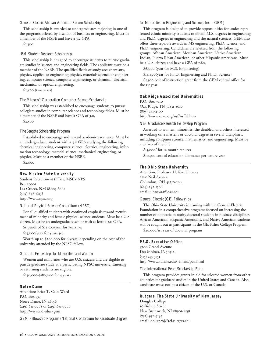#### *General Electric African American Forum Scholarship*

This scholarship is awarded to undergraduates majoring in one of the programs offered by a school of business or engineering. Must be a member of the NSBE and have a 3.2 GPA.

\$1,500

#### *IBM Student Research Scholarship*

This scholarship is designed to encourage students to pursue graduate studies in science and engineering fields. The applicant must be a member of the NSBE. The qualified fields of study are: chemistry, physics, applied or engineering physics, materials science or engineering, computer science, computer engineering, or chemical, electrical, mechanical or optical engineering.

\$2,500 (two years)

#### *The Microsoft Corporation Computer Science Scholarship*

This scholarship was established to encourage students to pursue collegiate studies in computer science and technology fields. Must be a member of the NSBE and have a GPA of 3.0.

\$2,500

#### *The Seagate Scholarship Program*

Established to encourage and reward academic excellence. Must be an undergraduate student with a 3.0 GPA studying the following: chemical engineering, computer science, electrical engineering, information technology, material science, mechanical engineering, or physics. Must be a member of the NSBE.

\$2,000

#### **New Mexico State University**

Student Recruitment Office, MSC-3NPS Box 30001 Las Cruces, NM 88003-8001 (505) 646-6038 http://www.npsc.org

#### *National Physical Science Consortium (NPSC)*

For all qualified students with continued emphasis toward recruitment of minority and female physical science students. Must be a U.S. citizen. Must be an undergraduate senior with at least a 3.0 GPA.

Stipends of \$12,500/year for years 1-4

\$15,000/year for years 5-6.

Worth up to \$200,000 for 6 years, depending on the cost of the university attended by the NPSC fellow.

#### *Graduate Fellowships for Minorities and Women*

Women and minorities who are U.S. citizens and are eligible to pursue graduate study at a participating NPSC university. Entering or returning students are eligible.

\$150,000-\$180,000 for 4 years

#### **Notre Dame**

Attention: Erica T. Cain-Ward P.O. Box 537 Notre Dame, IN 46556 (219) 631-7778 or (219) 631-7771 http://www.nd.edu/~gem

*GEM Fellowship Program (National Consortium for Graduate Degrees*

#### *for Minorities in Engineering and Science, Inc.-- GEM)*

This program is designed to provide opportunities for under-represented ethnic minority students to obtain M.S. degrees in engineering and Ph.D. degrees in engineering and the natural sciences. GEM also offers three separate awards in MS engineering, Ph.D. science, and Ph.D. engineering. Candidates are selected from the following groups: African American, Mexican American, Native American Indian, Puerto Rican American, or other Hispanic Americans. Must be a U.S. citizen and have a GPA of 2.80.

\$6,000 (year for M.S. Engineering)

\$14,400(year for Ph.D. Engineering and Ph.D. Science)

\$5,500 cost of instruction grant from the GEM central office for the 1st year

#### **Oak Ridge Associated Universities**

P.O. Box 3010 Oak Ridge, TN 37831-3010 (865) 241-4300 http://www.orau.org/nsf/nsffel.htm

#### *NSF Graduate Research Fellowship Program*

Awarded to women, minorities, the disabled, and others interested in working on a master's or doctoral degree in several disciplines, including computer science, mathematics, and engineering. Must be a citizen of the U.S.

\$15,000/ for 12 month tenures

\$10,500 cost of education allowance per tenure year

#### **The Ohio State University**

Attention: Professor H. Rao Unnava 2100 Neil Avenue Columbus, OH 43210-1144 (614) 292-1506 email: unnava.1@osu.edu

#### *General Electric (GE) Fellowships*

The Ohio State University is teaming with the General Electric Foundation in a comprehensive programs focused on increasing the number of domestic minority doctoral students in business disciplines. African American, Hispanic Americans, and Native American students will be sought out as participants in the GE/Fisher College Program.

\$20,000/1st year of doctoral program

#### **P.E.O. Executive Office**

3700 Grand Avenue Des Moines, IA 50312 (515) 255-3153 http://www.tulane.edu/~finaid/peo.html

#### *The International Peace Scholarship Fund*

This program provides grants-in-aid for selected women from other countries for graduate studies in the United States and Canada. Also, candidate must not be a citizen of the U.S. or Canada.

#### **Rutgers, The State University of New Jersey**

Douglas College 50 Bishop Street New Brunswick, NJ 08901-8558 (732) 932-9197 email: dougproj@rci.rutgers.edu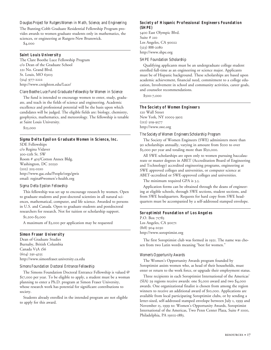#### *Douglas Project for Rutgers Women in Math, Science, and Engineering*

The Bunting-Cobb Graduate Residential Fellowship Program provides awards to women graduate students only in mathematics, the sciences, or engineering at Rutgers-New Brunswick.

\$4,000

#### **Saint Louis University**

The Clare Boothe Luce Fellowship Program c/o Dean of the Graduate School 221 No. Grand Blvd. St. Louis, MO 63103 (314) 977-2222 http://www.creighton.edu/Luce/

#### *Clare Boothe Luce Fund Graduate Fellowship for Women in Science*

The fund is intended to encourage women to enter, study, graduate, and teach in the fields of science and engineering. Academic excellence and professional potential will be the basis upon which candidates will be judged. The eligible fields are: biology, chemistry, geophysics, mathematics, and meteorology. The fellowship is tenable at Saint Louis University.

\$25,000

#### **Sigma Delta Epsilon Graduate Women in Science, Inc.**

SDE Fellowships c/o Regina Vidaver 300-12th St. SW Room # 405/Cotton Annex Bldg. Washington, DC 20250 (202) 205-0210 http://www.gac.edu/People/orgs/gwis email: regina@women's-health.org

#### *Sigma Delta Epsilon Fellowship*

This fellowship was set up to encourage research by women. Open to graduate students and post-doctoral scientists in all natural sciences, mathematical, computer, and life science. Awarded to persons in U.S. and Canada. Open to graduate students and postdoctoral researchers for research. Not for tuition or scholarship support.

\$1,200-\$3,000

A maximum of \$3,000 per application may be requested

#### **Simon Fraser University**

Dean of Graduate Studies Burnaby, British Columbia Canada V5A 1S6 (604) 291-4255 http://www.simonfraser.university.ca.edu

#### *Simons Foundation Doctoral Entrance Fellowship*

The Simons Foundation Doctoral Entrance Fellowship is valued @ \$17,000 per year. To be eligible to apply, a student must be a woman planning to enter a Ph.D. program at Simon Fraser University, whose research work has potential for significant contributions to society.

Students already enrolled in the intended program are not eligible to apply for this award.

#### **Society of Hispanic Professional Engineers Foundation (SHPE)**

5400 East Olympic Blvd. Suite # 210 Los Angeles, CA 90022 (323) 888-2080 http://www.shpe.org

#### *SHPE Foundation Scholarship*

Qualifying applicants must be an undergraduate college student enrolled full-time as an engineering or science major. Applicants must be of Hispanic background. These scholarships are based upon academic achievement, financial need, commitment to a college education, Involvement in school and community activities, career goals, and counselor recommendations.

\$500-7,000

#### **The Society of Women Engineers**

120 Wall Street New York, NY 10005-3902 (212) 509-9577 http://www.swe.org

#### *The Society of Women Engineers Scholarship Program*

The Society of Women Engineers (SWE) administers more than 90 scholarships annually, varying in amount from \$200 to over \$5,000 per year and totaling more than \$l50,000.

All SWE scholarships are open only to women pursuing baccalaureate or master degrees in ABET (Accreditation Board of Engineering and Technology) accredited engineering programs, engineering at SWE approved colleges and universities, or computer science at ABET-accredited or SWE-approved colleges and universities.

The minimum required GPA is 3.5.

Application forms can be obtained through the deans of engineering at eligible schools, through SWE sections, student sections, and from SWE headquarters. Requests for hard copy from SWE headquarters must be accompanied by a self-addressed stamped envelope.

#### **Soroptimist Foundation of Los Angeles**

P.O. Box 71783 Los Angeles, CA 90071 (818) 904-2030 http://www.soroptimist.org

The first Soroptimist club was formed in 1921. The name was chosen from two Latin words meaning "best for women."

#### *Women's Opportunity Awards*

The Women's Opportunity Awards program founded by Soroptimist assists women who, as head of their households, must enter or return to the work force, or upgrade their employment status.

Three recipients in each Soroptimist International of the Americas' (SIA) 29 regions receive awards: one \$5,000 award and two \$4,000 awards. One organizational finalist is chosen from among the region winners to receive an additional award of \$10,000. Applications are available from local participating Soroptimist clubs, or by sending a letter-sized, self-addressed stamped envelope between July 1, 1999 and November 15, 1999 to: Women's Opportunity Awards, Soroptimist International of the Americas, Two Penn Center Plaza, Suite # 1000, Philadelphia, PA 19102-1883.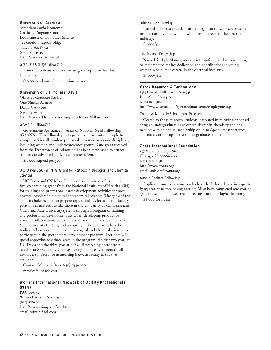#### **University of Arizona**

Attention: Sonia Economou Graduate Program Coordinator Department of Computer Science 725 Gould-Simpson Bldg. Tuscon, AZ 85721 (520) 621-4049 http://www.cs.arizona.edu

#### *Graduate College Fellowship*

Minority students and women are given a priority for this fellowship. \$10,000 and out-of-state tuition waiver

#### **University of California, Davis**

Office of Graduate Studies One Shields Avenue Davis, CA 95616 (530) 752-6314 http://www.eddie.ucdavis.edu/gspub/fellows/fellow.htm

#### *GAANN Fellowship*

Government Assistance in Areas of National Need Fellowship (GAANN). This fellowship is targeted to aid recruiting people from groups traditionally underrepresented in certain academic disciplines, including women and underrepresented groups. One grant received from the Department of Education has been established to attract students to advanced study in computer science.

\$15,000 stipend per year

#### *UC Davis-CSU-SF NIG Grant for Postdocs in Biological and Chemical Sciences*

UC Davis and CSU-San Francisco have received a \$3.1 million five-year training grant from the National Institutes of Health (NIH) for training and professional career development activities for postdoctoral scholars in biological and chemical sciences. The goals of the grant include: helping to prepare top candidates for academic faculty positions at universities like those in the University of California and California State University systems through a program of training and professional development activities; developing productive research collaborations between faculty and UCD and San Francisco State University (SFSU); and recruiting individuals who have been traditionally underrepresented in biological and chemical sciences to participate in the postdoctoral development program. Post docs will spend approximately three years in the program, the first two years at UC Davis and the third year at SFSU. Research by postdoctoral scholars at SFSU and UC Davis during the three-year period will involve a collaborative mentorship between faculty at the two institutions.

Contact: Margaret Brice (530) 754-6830 mrbrice@ucdavis.edu

#### **Women's International Network of Utility Professionals (WIN)**

P.O. Box 335 Whites Creek, TN 37189 (615) 876-5444 http://www:winup.org/sch.htm email: winup@aol.com

#### *Julie Kiene Fellowship*

Named for a past president of the organization who serves as an inspiration to young women who pursue careers in the electrical industry.

\$2,000/year

#### *Lyle Mamer Fellowship*

Named for Lyle Mamer, an associate professor and who will long be remembered for her dedication and contributions to young women who pursue careers in the electrical industry.

\$1,000/year

#### **Xerox Research & Technology**

3333 Coyote Hill road, PA35-341 Palo Alto, CA 94304 (650) 812-4813 http://www.xerox.com/go/xrx/about xerox/employment.jsp

#### *Technical Minority Scholarships Program*

Geared to those minority students interested in pursuing or considering an undergraduate or advanced degree in chemistry and engineering with an annual scholarship of up to \$4,000 for undergraduate coursework or up to \$5,000 for graduate studies.

#### **Zonta International Foundation**

557 West Randolph Street Chicago, IL 60661-2206 (312) 930-5848 http://www.zonta.org email: aubides@zonta.org

#### *Amelia Earhart Fellowship*

Applicant must be a woman who has a bachelor's degree in a qualifying area of science or engineering. Must have completed one year of graduate school at a well-recognized institution of higher learning.

\$6,000 for 1 year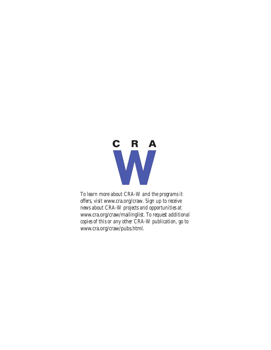

*To learn more about CRA-W and the programs it offers, visit* www.cra.org/craw*. Sign up to receive news about CRA-W projects and opportunities at* www.cra.org/craw/mailinglist*. To request additional copies of this or any other CRA-W publication, go to* www.cra.org/craw/pubs.html*.*